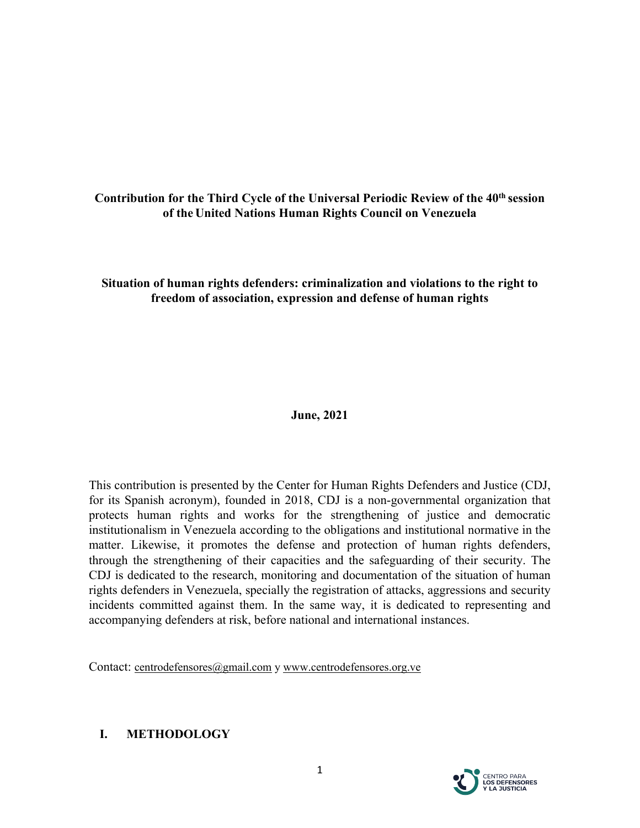# **Contribution for the Third Cycle of the Universal Periodic Review of the 40th session of the United Nations Human Rights Council on Venezuela**

### **Situation of human rights defenders: criminalization and violations to the right to freedom of association, expression and defense of human rights**

### **June, 2021**

This contribution is presented by the Center for Human Rights Defenders and Justice (CDJ, for its Spanish acronym), founded in 2018, CDJ is <sup>a</sup> non-governmental organization that protects human rights and works for the strengthening of justice and democratic institutionalism in Venezuela according to the obligations and institutional normative in the matter. Likewise, it promotes the defense and protection of human rights defenders, through the strengthening of their capacities and the safeguarding of their security. The CDJ is dedicated to the research, monitoring and documentation of the situation of human rights defenders in Venezuela, specially the registration of attacks, aggressions and security incidents committed against them. In the same way, it is dedicated to representing and accompanying defenders at risk, before national and international instances.

Contact: [centrodefensores@gmail.com](mailto:centrodefensores@gmail.com) <sup>y</sup> [www.centrodefensores.org.ve](http://www.centrodefensores.org.ve)

### **I. METHODOLOGY**

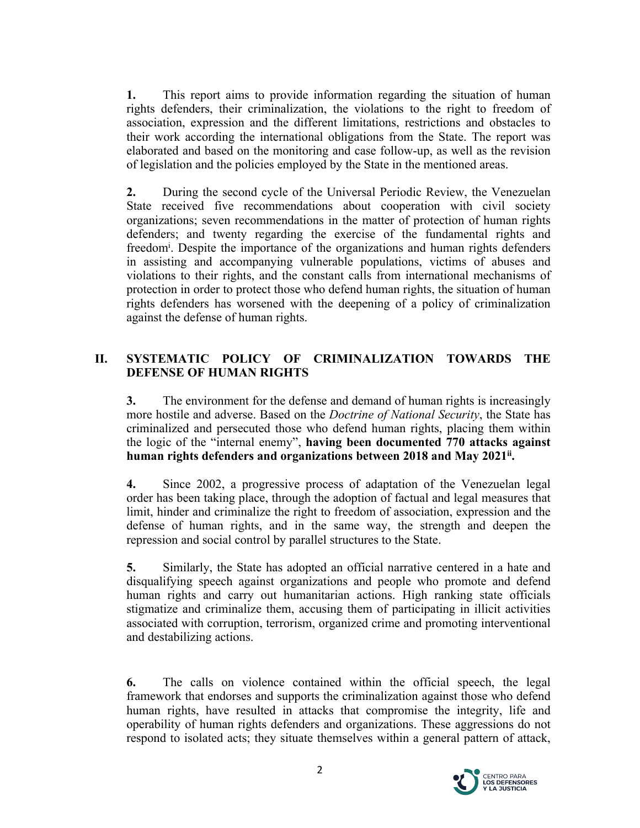**1.** This repor<sup>t</sup> aims to provide information regarding the situation of human rights defenders, their criminalization, the violations to the right to freedom of association, expression and the different limitations, restrictions and obstacles to their work according the international obligations from the State. The repor<sup>t</sup> was elaborated and based on the monitoring and case follow-up, as well as the revision of legislation and the policies employed by the State in the mentioned areas.

**2.** During the second cycle of the Universal Periodic Review, the Venezuelan State received five recommendations about cooperation with civil society organizations; seven recommendations in the matter of protection of human rights defenders; and twenty regarding the exercise of the fundamental rights and freedom<sup>i</sup>. Despite the importance of the organizations and human rights defenders in assisting and accompanying vulnerable populations, victims of abuses and violations to their rights, and the constant calls from international mechanisms of protection in order to protect those who defend human rights, the situation of human rights defenders has worsened with the deepening of <sup>a</sup> policy of criminalization against the defense of human rights.

# **II. SYSTEMATIC POLICY OF CRIMINALIZATION TOWARDS THE DEFENSE OF HUMAN RIGHTS**

**3.** The environment for the defense and demand of human rights is increasingly more hostile and adverse. Based on the *Doctrine of National Security*, the State has criminalized and persecuted those who defend human rights, placing them within the logic of the "internal enemy", **having been documented 770 attacks against human rights defenders and organizations between 2018 and May 2021ii .**

**4.** Since 2002, <sup>a</sup> progressive process of adaptation of the Venezuelan legal order has been taking place, through the adoption of factual and legal measures that limit, hinder and criminalize the right to freedom of association, expression and the defense of human rights, and in the same way, the strength and deepen the repression and social control by parallel structures to the State.

**5.** Similarly, the State has adopted an official narrative centered in <sup>a</sup> hate and disqualifying speech against organizations and people who promote and defend human rights and carry out humanitarian actions. High ranking state officials stigmatize and criminalize them, accusing them of participating in illicit activities associated with corruption, terrorism, organized crime and promoting interventional and destabilizing actions.

**6.** The calls on violence contained within the official speech, the legal framework that endorses and supports the criminalization against those who defend human rights, have resulted in attacks that compromise the integrity, life and operability of human rights defenders and organizations. These aggressions do not respond to isolated acts; they situate themselves within <sup>a</sup> general pattern of attack,

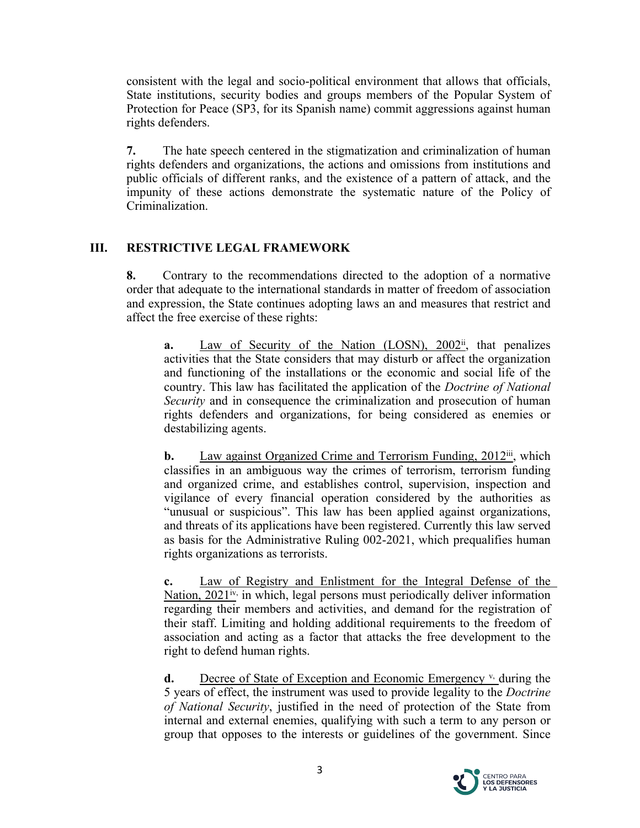consistent with the legal and socio-political environment that allows that officials, State institutions, security bodies and groups members of the Popular System of Protection for Peace (SP3, for its Spanish name) commit aggressions against human rights defenders.

**7.** The hate speech centered in the stigmatization and criminalization of human rights defenders and organizations, the actions and omissions from institutions and public officials of different ranks, and the existence of <sup>a</sup> pattern of attack, and the impunity of these actions demonstrate the systematic nature of the Policy of Criminalization.

# **III. RESTRICTIVE LEGAL FRAMEWORK**

**8.** Contrary to the recommendations directed to the adoption of <sup>a</sup> normative order that adequate to the international standards in matter of freedom of association and expression, the State continues adopting laws an and measures that restrict and affect the free exercise of these rights:

**a.** Law of Security of the Nation (LOSN), 2002<sup>ii</sup>, that penalizes activities that the State considers that may disturb or affect the organization and functioning of the installations or the economic and social life of the country. This law has facilitated the application of the *Doctrine of National Security* and in consequence the criminalization and prosecution of human rights defenders and organizations, for being considered as enemies or destabilizing agents.

**b.** Law against Organized Crime and Terrorism Funding, 2012<sup>iii</sup>, which classifies in an ambiguous way the crimes of terrorism, terrorism funding and organized crime, and establishes control, supervision, inspection and vigilance of every financial operation considered by the authorities as "unusual or suspicious". This law has been applied against organizations, and threats of its applications have been registered. Currently this law served as basis for the Administrative Ruling 002-2021, which prequalifies human rights organizations as terrorists.

**c.** Law of Registry and Enlistment for the Integral Defense of the Nation, 2021<sup>iv,</sup> in which, legal persons must periodically deliver information regarding their members and activities, and demand for the registration of their staff. Limiting and holding additional requirements to the freedom of association and acting as <sup>a</sup> factor that attacks the free development to the right to defend human rights.

**d.** Decree of State of Exception and Economic Emergency <sup>v</sup>, during the 5 years of effect, the instrument was used to provide legality to the *Doctrine of National Security*, justified in the need of protection of the State from internal and external enemies, qualifying with such <sup>a</sup> term to any person or group that opposes to the interests or guidelines of the government. Since

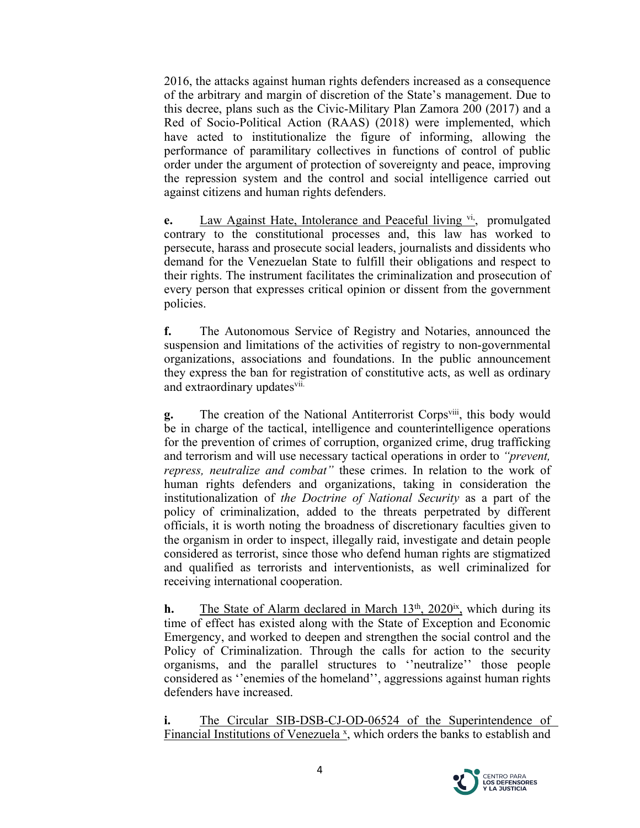2016, the attacks against human rights defenders increased as <sup>a</sup> consequence of the arbitrary and margin of discretion of the State'<sup>s</sup> management. Due to this decree, plans such as the Civic-Military Plan Zamora 200 (2017) and <sup>a</sup> Red of Socio-Political Action (RAAS) (2018) were implemented, which have acted to institutionalize the figure of informing, allowing the performance of paramilitary collectives in functions of control of public order under the argumen<sup>t</sup> of protection of sovereignty and peace, improving the repression system and the control and social intelligence carried out against citizens and human rights defenders.

e. Law Against Hate, Intolerance and Peaceful living vi<sub>,</sub> promulgated contrary to the constitutional processes and, this law has worked to persecute, harass and prosecute social leaders, journalists and dissidents who demand for the Venezuelan State to fulfill their obligations and respec<sup>t</sup> to their rights. The instrument facilitates the criminalization and prosecution of every person that expresses critical opinion or dissent from the governmen<sup>t</sup> policies.

**f.** The Autonomous Service of Registry and Notaries, announced the suspension and limitations of the activities of registry to non-governmental organizations, associations and foundations. In the public announcement they express the ban for registration of constitutive acts, as well as ordinary and extraordinary updates<sup>vii.</sup>

g. The creation of the National Antiterrorist Corps<sup>viii</sup>, this body would be in charge of the tactical, intelligence and counterintelligence operations for the prevention of crimes of corruption, organized crime, drug trafficking and terrorism and will use necessary tactical operations in order to *"prevent, repress, neutralize and combat"* these crimes. In relation to the work of human rights defenders and organizations, taking in consideration the institutionalization of *the Doctrine of National Security* as <sup>a</sup> par<sup>t</sup> of the policy of criminalization, added to the threats perpetrated by different officials, it is worth noting the broadness of discretionary faculties given to the organism in order to inspect, illegally raid, investigate and detain people considered as terrorist, since those who defend human rights are stigmatized and qualified as terrorists and interventionists, as well criminalized for receiving international cooperation.

**h.** The State of Alarm declared in March 13<sup>th</sup>, 2020<sup>ix</sup>, which during its time of effect has existed along with the State of Exception and Economic Emergency, and worked to deepen and strengthen the social control and the Policy of Criminalization. Through the calls for action to the security organisms, and the parallel structures to ''neutralize'' those people considered as ''enemies of the homeland'', aggressions against human rights defenders have increased.

**i.** The Circular SIB-DSB-CJ-OD-06524 of the Superintendence of Financial Institutions of Venezuela <sup>x</sup>, which orders the banks to establish and

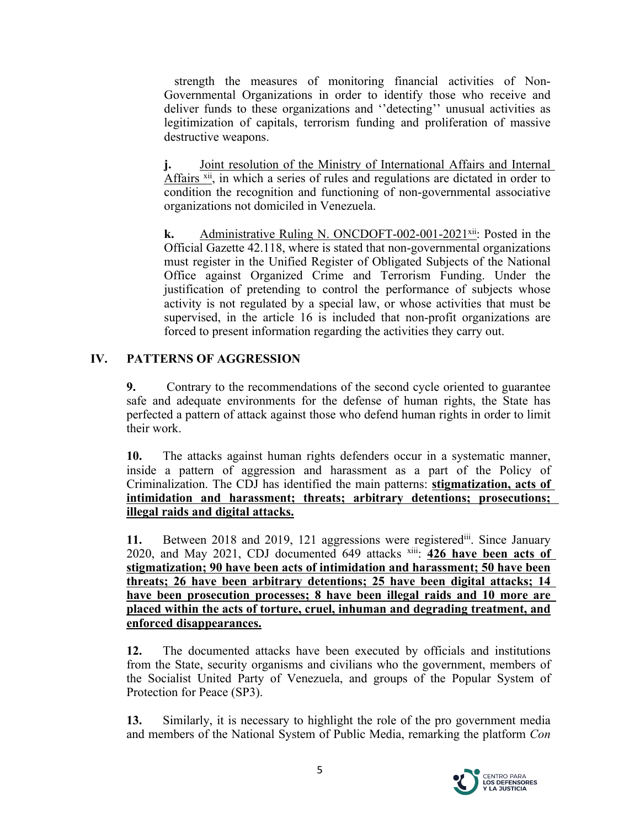strength the measures of monitoring financial activities of Non-Governmental Organizations in order to identify those who receive and deliver funds to these organizations and ''detecting'' unusual activities as legitimization of capitals, terrorism funding and proliferation of massive destructive weapons.

**j.** Joint resolution of the Ministry of International Affairs and Internal Affairs <sup>xii</sup>, in which a series of rules and regulations are dictated in order to condition the recognition and functioning of non-governmental associative organizations not domiciled in Venezuela.

**k.** Administrative Ruling N. ONCDOFT-002-001-2021<sup>xii</sup>: Posted in the Official Gazette 42.118, where is stated that non-governmental organizations must register in the Unified Register of Obligated Subjects of the National Office against Organized Crime and Terrorism Funding. Under the justification of pretending to control the performance of subjects whose activity is not regulated by <sup>a</sup> special law, or whose activities that must be supervised, in the article 16 is included that non-profit organizations are forced to presen<sup>t</sup> information regarding the activities they carry out.

# **IV. PATTERNS OF AGGRESSION**

**9.** Contrary to the recommendations of the second cycle oriented to guarantee safe and adequate environments for the defense of human rights, the State has perfected <sup>a</sup> pattern of attack against those who defend human rights in order to limit their work.

**10.** The attacks against human rights defenders occur in <sup>a</sup> systematic manner, inside <sup>a</sup> pattern of aggression and harassment as <sup>a</sup> par<sup>t</sup> of the Policy of Criminalization. The CDJ has identified the main patterns: **stigmatization, acts of intimidation and harassment; threats; arbitrary detentions; prosecutions; illegal raids and digital attacks.**

11. Between 2018 and 2019, 121 aggressions were registered<sup>iii</sup>. Since January 2020, and May 2021, CDJ documented 649 attacks xiii : **426 have been acts of stigmatization; 90 have been acts of intimidation and harassment; 50 have been threats; 26 have been arbitrary detentions; 25 have been digital attacks; 14 have been prosecution processes; 8 have been illegal raids and 10 more are placed within the acts of torture, cruel, inhuman and degrading treatment, and enforced disappearances.**

**12.** The documented attacks have been executed by officials and institutions from the State, security organisms and civilians who the government, members of the Socialist United Party of Venezuela, and groups of the Popular System of Protection for Peace (SP3).

**13.** Similarly, it is necessary to highlight the role of the pro governmen<sup>t</sup> media and members of the National System of Public Media, remarking the platform *Con*

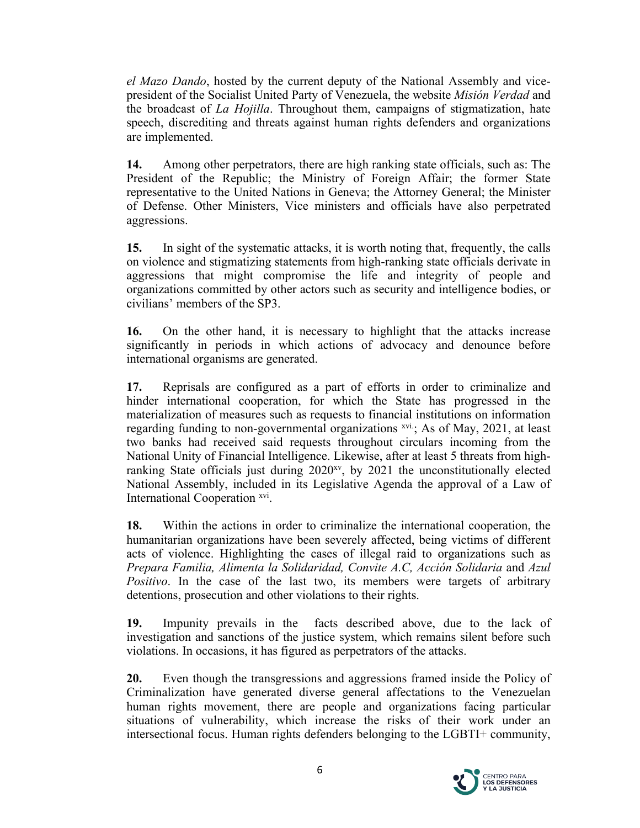*el Mazo Dando*, hosted by the current deputy of the National Assembly and vicepresident of the Socialist United Party of Venezuela, the website *Misión Verdad* and the broadcast of *La Hojilla*. Throughout them, campaigns of stigmatization, hate speech, discrediting and threats against human rights defenders and organizations are implemented.

**14.** Among other perpetrators, there are high ranking state officials, such as: The President of the Republic; the Ministry of Foreign Affair; the former State representative to the United Nations in Geneva; the Attorney General; the Minister of Defense. Other Ministers, Vice ministers and officials have also perpetrated aggressions.

**15.** In sight of the systematic attacks, it is worth noting that, frequently, the calls on violence and stigmatizing statements from high-ranking state officials derivate in aggressions that might compromise the life and integrity of people and organizations committed by other actors such as security and intelligence bodies, or civilians' members of the SP3.

**16.** On the other hand, it is necessary to highlight that the attacks increase significantly in periods in which actions of advocacy and denounce before international organisms are generated.

**17.** Reprisals are configured as <sup>a</sup> par<sup>t</sup> of efforts in order to criminalize and hinder international cooperation, for which the State has progressed in the materialization of measures such as requests to financial institutions on information regarding funding to non-governmental organizations xvi.; As of May, 2021, at least two banks had received said requests throughout circulars incoming from the National Unity of Financial Intelligence. Likewise, after at least 5 threats from highranking State officials just during 2020<sup>xv</sup>, by 2021 the unconstitutionally elected National Assembly, included in its Legislative Agenda the approval of <sup>a</sup> Law of International Cooperation xvi.

**18.** Within the actions in order to criminalize the international cooperation, the humanitarian organizations have been severely affected, being victims of different acts of violence. Highlighting the cases of illegal raid to organizations such as *Prepara Familia, Alimenta la Solidaridad, Convite A.C, Acción Solidaria* and *Azul Positivo*. In the case of the last two, its members were targets of arbitrary detentions, prosecution and other violations to their rights.

**19.** Impunity prevails in the facts described above, due to the lack of investigation and sanctions of the justice system, which remains silent before such violations. In occasions, it has figured as perpetrators of the attacks.

**20.** Even though the transgressions and aggressions framed inside the Policy of Criminalization have generated diverse general affectations to the Venezuelan human rights movement, there are people and organizations facing particular situations of vulnerability, which increase the risks of their work under an intersectional focus. Human rights defenders belonging to the LGBTI+ community,

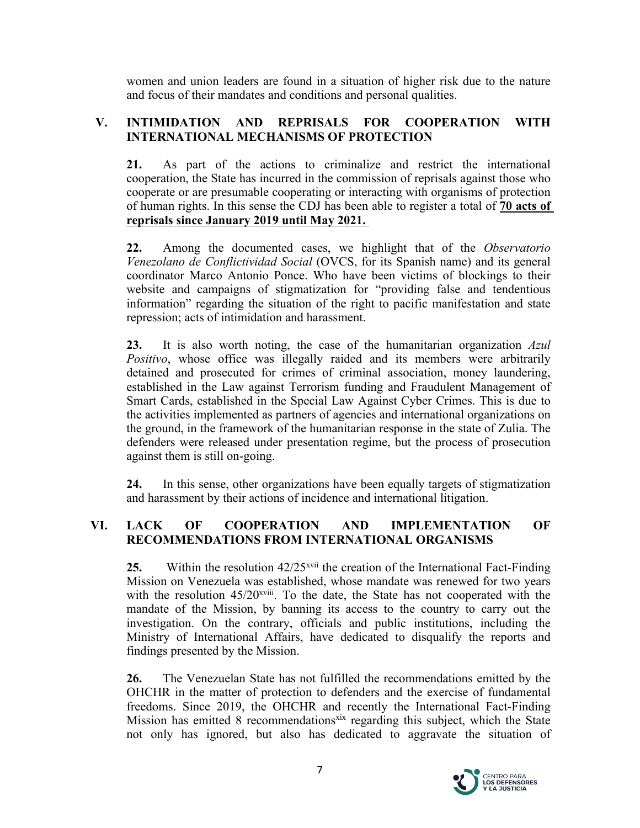women and union leaders are found in <sup>a</sup> situation of higher risk due to the nature and focus of their mandates and conditions and personal qualities.

# **V. INTIMIDATION AND REPRISALS FOR COOPERATION WITH INTERNATIONAL MECHANISMS OF PROTECTION**

**21.** As par<sup>t</sup> of the actions to criminalize and restrict the international cooperation, the State has incurred in the commission of reprisals against those who cooperate or are presumable cooperating or interacting with organisms of protection of human rights. In this sense the CDJ has been able to register <sup>a</sup> total of **70 acts of reprisals since January 2019 until May 2021.**

**22.** Among the documented cases, we highlight that of the *Observatorio Venezolano de Conflictividad Social* (OVCS, for its Spanish name) and its general coordinator Marco Antonio Ponce. Who have been victims of blockings to their website and campaigns of stigmatization for "providing false and tendentious information" regarding the situation of the right to pacific manifestation and state repression; acts of intimidation and harassment.

**23.** It is also worth noting, the case of the humanitarian organization *Azul Positivo*, whose office was illegally raided and its members were arbitrarily detained and prosecuted for crimes of criminal association, money laundering, established in the Law against Terrorism funding and Fraudulent Management of Smart Cards, established in the Special Law Against Cyber Crimes. This is due to the activities implemented as partners of agencies and international organizations on the ground, in the framework of the humanitarian response in the state of Zulia. The defenders were released under presentation regime, but the process of prosecution against them is still on-going.

**24.** In this sense, other organizations have been equally targets of stigmatization and harassment by their actions of incidence and international litigation.

### **VI. LACK OF COOPERATION AND IMPLEMENTATION OF RECOMMENDATIONS FROM INTERNATIONAL ORGANISMS**

**25.** Within the resolution 42/25<sup>xvii</sup> the creation of the International Fact-Finding Mission on Venezuela was established, whose mandate was renewed for two years with the resolution  $45/20^{x}$ <sup>xviii</sup>. To the date, the State has not cooperated with the mandate of the Mission, by banning its access to the country to carry out the investigation. On the contrary, officials and public institutions, including the Ministry of International Affairs, have dedicated to disqualify the reports and findings presented by the Mission.

**26.** The Venezuelan State has not fulfilled the recommendations emitted by the OHCHR in the matter of protection to defenders and the exercise of fundamental freedoms. Since 2019, the OHCHR and recently the International Fact-Finding Mission has emitted 8 recommendations<sup>xix</sup> regarding this subject, which the State not only has ignored, but also has dedicated to aggravate the situation of

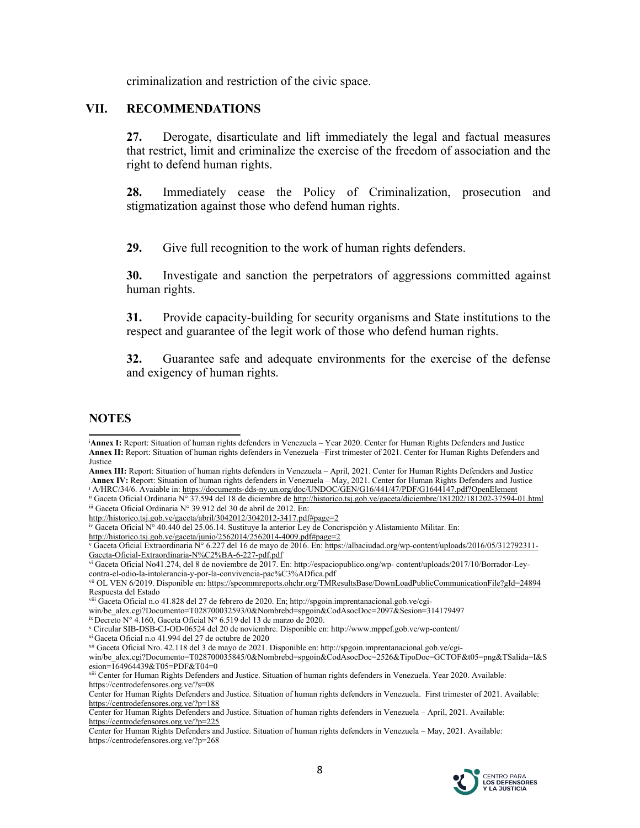criminalization and restriction of the civic space.

#### **VII. RECOMMENDATIONS**

**27.** Derogate, disarticulate and lift immediately the legal and factual measures that restrict, limit and criminalize the exercise of the freedom of association and the right to defend human rights.

**28.** Immediately cease the Policy of Criminalization, prosecution and stigmatization against those who defend human rights.

**29.** Give full recognition to the work of human rights defenders.

**30.** Investigate and sanction the perpetrators of aggressions committed against human rights.

**31.** Provide capacity-building for security organisms and State institutions to the respec<sup>t</sup> and guarantee of the legit work of those who defend human rights.

**32.** Guarantee safe and adequate environments for the exercise of the defense and exigency of human rights.

#### **NOTES**

**Annex III:** Report: Situation of human rights defenders in Venezuela – April, 2021. Center for Human Rights Defenders and Justice **Annex IV:** Report: Situation of human rights defenders in Venezuela – May, 2021. Center for Human Rights Defenders and Justice

<http://historico.tsj.gob.ve/gaceta/abril/3042012/3042012-3417.pdf#page=2>

<http://historico.tsj.gob.ve/gaceta/junio/2562014/2562014-4009.pdf#page=2>

vi Gaceta Oficial No41.274, del 8 de noviembre de 2017. En: http://espaciopublico.ong/wp- content/uploads/2017/10/Borrador-Leycontra-el-odio-la-intolerancia-y-por-la-convivencia-pac%C3%ADfica.pdf

xiii Center for Human Rights Defenders and Justice. Situation of human rights defenders in Venezuela. Year 2020. Available: https://centrodefensores.org.ve/?s=08

Center for Human Rights Defenders and Justice. Situation of human rights defenders in Venezuela – May, 2021. Available: https://centrodefensores.org.ve/?p=268



<sup>i</sup>**Annex I:** Report: Situation of human rights defenders in Venezuela – Year 2020. Center for Human Rights Defenders and Justice **Annex II:** Report: Situation of human rights defenders in Venezuela –First trimester of 2021. Center for Human Rights Defenders and Justice

<sup>&</sup>lt;sup>i</sup> A/HRC/34/6. Avaiable in: <https://documents-dds-ny.un.org/doc/UNDOC/GEN/G16/441/47/PDF/G1644147.pdf?OpenElement>

ii Gaceta Oficial Ordinaria N° 37.594 del 18 de diciembre de <http://historico.tsj.gob.ve/gaceta/diciembre/181202/181202-37594-01.html> iii Gaceta Oficial Ordinaria  $N^{\circ}$  39.912 del 30 de abril de 2012. En:

iv Gaceta Oficial N° 40.440 del 25.06.14. Sustituye la anterior Ley de Concrispción <sup>y</sup> Alistamiento Militar. En:

<sup>v</sup> Gaceta Oficial Extraordinaria N° 6.227 del 16 de mayo de 2016. En: [https://albaciudad.org/wp-content/uploads/2016/05/312792311-](https://albaciudad.org/wp-content/uploads/2016/05/312792311-Gaceta-Oficial-Extraordinaria-N%C2%BA-6-227-pdf.pdf) [Gaceta-Oficial-Extraordinaria-N%C2%BA-6-227-pdf.pdf](https://albaciudad.org/wp-content/uploads/2016/05/312792311-Gaceta-Oficial-Extraordinaria-N%C2%BA-6-227-pdf.pdf)

vii OL VEN 6/2019. Disponible en: <https://spcommreports.ohchr.org/TMResultsBase/DownLoadPublicCommunicationFile?gId=24894> Respuesta del Estado

viii Gaceta Oficial n.o 41.828 del 27 de febrero de 2020. En; http://spgoin.imprentanacional.gob.ve/cgi-

win/be\_alex.cgi?Documento=T028700032593/0&Nombrebd=spgoin&CodAsocDoc=2097&Sesion=314179497

ix Decreto N° 4.160, Gaceta Oficial N° 6.519 del 13 de marzo de 2020.

<sup>x</sup> Circular SIB-DSB-CJ-OD-06524 del 20 de noviembre. Disponible en: http://www.mppef.gob.ve/wp-content/ xi Gaceta Oficial n.o 41.994 del 27 de octubre de 2020

xii Gaceta Oficial Nro. 42.118 del 3 de mayo de 2021. Disponible en: http://spgoin.imprentanacional.gob.ve/cgi-

win/be\_alex.cgi?Documento=T028700035845/0&Nombrebd=spgoin&CodAsocDoc=2526&TipoDoc=GCTOF&t05=png&TSalida=I&S esion=164964439&T05=PDF&T04=0

Center for Human Rights Defenders and Justice. Situation of human rights defenders in Venezuela. First trimester of 2021. Available: <https://centrodefensores.org.ve/?p=188>

Center for Human Rights Defenders and Justice. Situation of human rights defenders in Venezuela – April, 2021. Available: <https://centrodefensores.org.ve/?p=225>